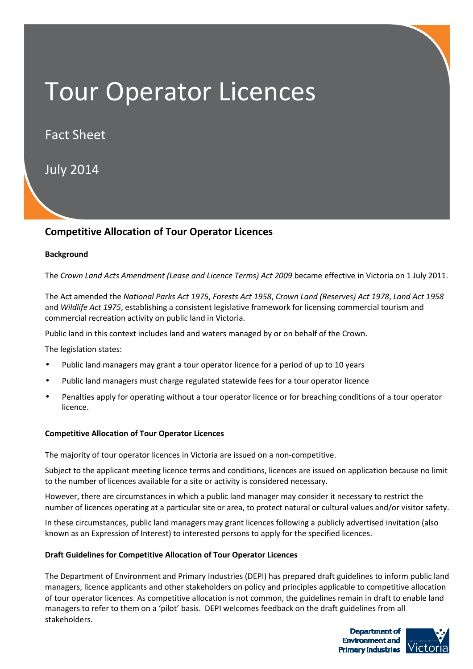# Tour Operator Licences

Fact Sheet

July 2014

# **Competitive Allocation of Tour Operator Licences**

## **Background**

The *Crown Land Acts Amendment (Lease and Licence Terms) Act 2009* became effective in Victoria on 1 July 2011.

The Act amended the *National Parks Act 1975*, *Forests Act 1958*, *Crown Land (Reserves) Act 1978*, *Land Act 1958*  and *Wildlife Act 1975*, establishing a consistent legislative framework for licensing commercial tourism and commercial recreation activity on public land in Victoria.

Public land in this context includes land and waters managed by or on behalf of the Crown.

The legislation states:

- Public land managers may grant a tour operator licence for a period of up to 10 years
- Public land managers must charge regulated statewide fees for a tour operator licence
- Penalties apply for operating without a tour operator licence or for breaching conditions of a tour operator licence.

## **Competitive Allocation of Tour Operator Licences**

The majority of tour operator licences in Victoria are issued on a non-competitive.

Subject to the applicant meeting licence terms and conditions, licences are issued on application because no limit to the number of licences available for a site or activity is considered necessary.

However, there are circumstances in which a public land manager may consider it necessary to restrict the number of licences operating at a particular site or area, to protect natural or cultural values and/or visitor safety.

In these circumstances, public land managers may grant licences following a publicly advertised invitation (also known as an Expression of Interest) to interested persons to apply for the specified licences.

#### **Draft Guidelines for Competitive Allocation of Tour Operator Licences**

The Department of Environment and Primary Industries (DEPI) has prepared draft guidelines to inform public land managers, licence applicants and other stakeholders on policy and principles applicable to competitive allocation of tour operator licences. As competitive allocation is not common, the guidelines remain in draft to enable land managers to refer to them on a 'pilot' basis. DEPI welcomes feedback on the draft guidelines from all stakeholders.